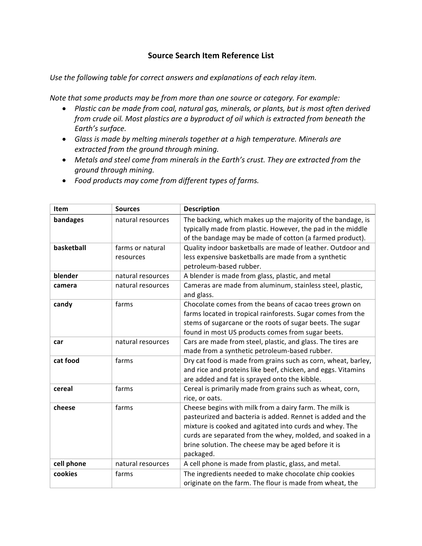## **Source Search Item Reference List**

Use the following table for correct answers and explanations of each relay item.

*Note that some products may be from more than one source or category. For example:* 

- Plastic can be made from coal, natural gas, minerals, or plants, but is most often derived *from crude oil. Most plastics are a byproduct of oil which is extracted from beneath the* Earth's surface.
- Glass is made by melting minerals together at a high temperature. Minerals are *extracted from the ground through mining.*
- Metals and steel come from minerals in the Earth's crust. They are extracted from the *ground through mining.*
- *Food products may come from different types of farms.*

| <b>Item</b> | <b>Sources</b>                | <b>Description</b>                                                                                                                                                                                                                                                                                                |
|-------------|-------------------------------|-------------------------------------------------------------------------------------------------------------------------------------------------------------------------------------------------------------------------------------------------------------------------------------------------------------------|
| bandages    | natural resources             | The backing, which makes up the majority of the bandage, is<br>typically made from plastic. However, the pad in the middle<br>of the bandage may be made of cotton (a farmed product).                                                                                                                            |
| basketball  | farms or natural<br>resources | Quality indoor basketballs are made of leather. Outdoor and<br>less expensive basketballs are made from a synthetic<br>petroleum-based rubber.                                                                                                                                                                    |
| blender     | natural resources             | A blender is made from glass, plastic, and metal                                                                                                                                                                                                                                                                  |
| camera      | natural resources             | Cameras are made from aluminum, stainless steel, plastic,<br>and glass.                                                                                                                                                                                                                                           |
| candy       | farms                         | Chocolate comes from the beans of cacao trees grown on<br>farms located in tropical rainforests. Sugar comes from the<br>stems of sugarcane or the roots of sugar beets. The sugar<br>found in most US products comes from sugar beets.                                                                           |
| car         | natural resources             | Cars are made from steel, plastic, and glass. The tires are<br>made from a synthetic petroleum-based rubber.                                                                                                                                                                                                      |
| cat food    | farms                         | Dry cat food is made from grains such as corn, wheat, barley,<br>and rice and proteins like beef, chicken, and eggs. Vitamins<br>are added and fat is sprayed onto the kibble.                                                                                                                                    |
| cereal      | farms                         | Cereal is primarily made from grains such as wheat, corn,<br>rice, or oats.                                                                                                                                                                                                                                       |
| cheese      | farms                         | Cheese begins with milk from a dairy farm. The milk is<br>pasteurized and bacteria is added. Rennet is added and the<br>mixture is cooked and agitated into curds and whey. The<br>curds are separated from the whey, molded, and soaked in a<br>brine solution. The cheese may be aged before it is<br>packaged. |
| cell phone  | natural resources             | A cell phone is made from plastic, glass, and metal.                                                                                                                                                                                                                                                              |
| cookies     | farms                         | The ingredients needed to make chocolate chip cookies<br>originate on the farm. The flour is made from wheat, the                                                                                                                                                                                                 |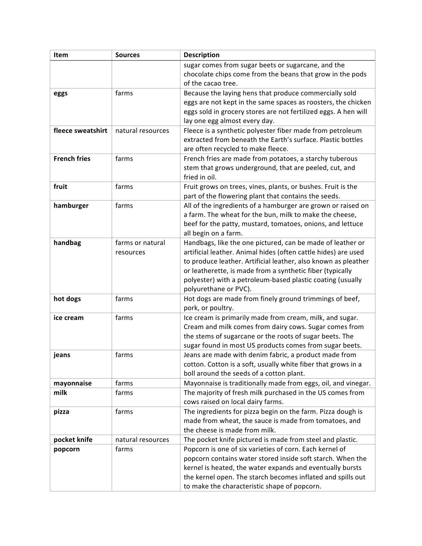| sugar comes from sugar beets or sugarcane, and the<br>chocolate chips come from the beans that grow in the pods<br>of the cacao tree.<br>Because the laying hens that produce commercially sold<br>farms<br>eggs<br>eggs are not kept in the same spaces as roosters, the chicken<br>eggs sold in grocery stores are not fertilized eggs. A hen will<br>lay one egg almost every day.<br>fleece sweatshirt<br>Fleece is a synthetic polyester fiber made from petroleum<br>natural resources<br>extracted from beneath the Earth's surface. Plastic bottles<br>are often recycled to make fleece.<br><b>French fries</b><br>farms<br>French fries are made from potatoes, a starchy tuberous<br>stem that grows underground, that are peeled, cut, and<br>fried in oil.<br>fruit<br>farms<br>Fruit grows on trees, vines, plants, or bushes. Fruit is the |
|-----------------------------------------------------------------------------------------------------------------------------------------------------------------------------------------------------------------------------------------------------------------------------------------------------------------------------------------------------------------------------------------------------------------------------------------------------------------------------------------------------------------------------------------------------------------------------------------------------------------------------------------------------------------------------------------------------------------------------------------------------------------------------------------------------------------------------------------------------------|
|                                                                                                                                                                                                                                                                                                                                                                                                                                                                                                                                                                                                                                                                                                                                                                                                                                                           |
|                                                                                                                                                                                                                                                                                                                                                                                                                                                                                                                                                                                                                                                                                                                                                                                                                                                           |
|                                                                                                                                                                                                                                                                                                                                                                                                                                                                                                                                                                                                                                                                                                                                                                                                                                                           |
|                                                                                                                                                                                                                                                                                                                                                                                                                                                                                                                                                                                                                                                                                                                                                                                                                                                           |
|                                                                                                                                                                                                                                                                                                                                                                                                                                                                                                                                                                                                                                                                                                                                                                                                                                                           |
|                                                                                                                                                                                                                                                                                                                                                                                                                                                                                                                                                                                                                                                                                                                                                                                                                                                           |
|                                                                                                                                                                                                                                                                                                                                                                                                                                                                                                                                                                                                                                                                                                                                                                                                                                                           |
|                                                                                                                                                                                                                                                                                                                                                                                                                                                                                                                                                                                                                                                                                                                                                                                                                                                           |
|                                                                                                                                                                                                                                                                                                                                                                                                                                                                                                                                                                                                                                                                                                                                                                                                                                                           |
|                                                                                                                                                                                                                                                                                                                                                                                                                                                                                                                                                                                                                                                                                                                                                                                                                                                           |
|                                                                                                                                                                                                                                                                                                                                                                                                                                                                                                                                                                                                                                                                                                                                                                                                                                                           |
|                                                                                                                                                                                                                                                                                                                                                                                                                                                                                                                                                                                                                                                                                                                                                                                                                                                           |
|                                                                                                                                                                                                                                                                                                                                                                                                                                                                                                                                                                                                                                                                                                                                                                                                                                                           |
|                                                                                                                                                                                                                                                                                                                                                                                                                                                                                                                                                                                                                                                                                                                                                                                                                                                           |
| part of the flowering plant that contains the seeds.                                                                                                                                                                                                                                                                                                                                                                                                                                                                                                                                                                                                                                                                                                                                                                                                      |
| All of the ingredients of a hamburger are grown or raised on<br>hamburger<br>farms                                                                                                                                                                                                                                                                                                                                                                                                                                                                                                                                                                                                                                                                                                                                                                        |
| a farm. The wheat for the bun, milk to make the cheese,                                                                                                                                                                                                                                                                                                                                                                                                                                                                                                                                                                                                                                                                                                                                                                                                   |
| beef for the patty, mustard, tomatoes, onions, and lettuce                                                                                                                                                                                                                                                                                                                                                                                                                                                                                                                                                                                                                                                                                                                                                                                                |
| all begin on a farm.                                                                                                                                                                                                                                                                                                                                                                                                                                                                                                                                                                                                                                                                                                                                                                                                                                      |
| handbag<br>farms or natural<br>Handbags, like the one pictured, can be made of leather or                                                                                                                                                                                                                                                                                                                                                                                                                                                                                                                                                                                                                                                                                                                                                                 |
| artificial leather. Animal hides (often cattle hides) are used<br>resources                                                                                                                                                                                                                                                                                                                                                                                                                                                                                                                                                                                                                                                                                                                                                                               |
| to produce leather. Artificial leather, also known as pleather                                                                                                                                                                                                                                                                                                                                                                                                                                                                                                                                                                                                                                                                                                                                                                                            |
| or leatherette, is made from a synthetic fiber (typically                                                                                                                                                                                                                                                                                                                                                                                                                                                                                                                                                                                                                                                                                                                                                                                                 |
| polyester) with a petroleum-based plastic coating (usually                                                                                                                                                                                                                                                                                                                                                                                                                                                                                                                                                                                                                                                                                                                                                                                                |
| polyurethane or PVC).                                                                                                                                                                                                                                                                                                                                                                                                                                                                                                                                                                                                                                                                                                                                                                                                                                     |
| farms<br>Hot dogs are made from finely ground trimmings of beef,<br>hot dogs                                                                                                                                                                                                                                                                                                                                                                                                                                                                                                                                                                                                                                                                                                                                                                              |
| pork, or poultry.                                                                                                                                                                                                                                                                                                                                                                                                                                                                                                                                                                                                                                                                                                                                                                                                                                         |
| Ice cream is primarily made from cream, milk, and sugar.<br>farms<br>ice cream                                                                                                                                                                                                                                                                                                                                                                                                                                                                                                                                                                                                                                                                                                                                                                            |
| Cream and milk comes from dairy cows. Sugar comes from                                                                                                                                                                                                                                                                                                                                                                                                                                                                                                                                                                                                                                                                                                                                                                                                    |
| the stems of sugarcane or the roots of sugar beets. The                                                                                                                                                                                                                                                                                                                                                                                                                                                                                                                                                                                                                                                                                                                                                                                                   |
| sugar found in most US products comes from sugar beets.                                                                                                                                                                                                                                                                                                                                                                                                                                                                                                                                                                                                                                                                                                                                                                                                   |
| Jeans are made with denim fabric, a product made from<br>farms<br>jeans                                                                                                                                                                                                                                                                                                                                                                                                                                                                                                                                                                                                                                                                                                                                                                                   |
| cotton. Cotton is a soft, usually white fiber that grows in a                                                                                                                                                                                                                                                                                                                                                                                                                                                                                                                                                                                                                                                                                                                                                                                             |
| boll around the seeds of a cotton plant.<br>farms                                                                                                                                                                                                                                                                                                                                                                                                                                                                                                                                                                                                                                                                                                                                                                                                         |
| Mayonnaise is traditionally made from eggs, oil, and vinegar.<br>mayonnaise<br>milk<br>farms                                                                                                                                                                                                                                                                                                                                                                                                                                                                                                                                                                                                                                                                                                                                                              |
| The majority of fresh milk purchased in the US comes from<br>cows raised on local dairy farms.                                                                                                                                                                                                                                                                                                                                                                                                                                                                                                                                                                                                                                                                                                                                                            |
| The ingredients for pizza begin on the farm. Pizza dough is<br>farms<br>pizza                                                                                                                                                                                                                                                                                                                                                                                                                                                                                                                                                                                                                                                                                                                                                                             |
| made from wheat, the sauce is made from tomatoes, and                                                                                                                                                                                                                                                                                                                                                                                                                                                                                                                                                                                                                                                                                                                                                                                                     |
| the cheese is made from milk.                                                                                                                                                                                                                                                                                                                                                                                                                                                                                                                                                                                                                                                                                                                                                                                                                             |
| pocket knife<br>The pocket knife pictured is made from steel and plastic.<br>natural resources                                                                                                                                                                                                                                                                                                                                                                                                                                                                                                                                                                                                                                                                                                                                                            |
| Popcorn is one of six varieties of corn. Each kernel of<br>farms<br>popcorn                                                                                                                                                                                                                                                                                                                                                                                                                                                                                                                                                                                                                                                                                                                                                                               |
| popcorn contains water stored inside soft starch. When the                                                                                                                                                                                                                                                                                                                                                                                                                                                                                                                                                                                                                                                                                                                                                                                                |
| kernel is heated, the water expands and eventually bursts                                                                                                                                                                                                                                                                                                                                                                                                                                                                                                                                                                                                                                                                                                                                                                                                 |
| the kernel open. The starch becomes inflated and spills out                                                                                                                                                                                                                                                                                                                                                                                                                                                                                                                                                                                                                                                                                                                                                                                               |
| to make the characteristic shape of popcorn.                                                                                                                                                                                                                                                                                                                                                                                                                                                                                                                                                                                                                                                                                                                                                                                                              |